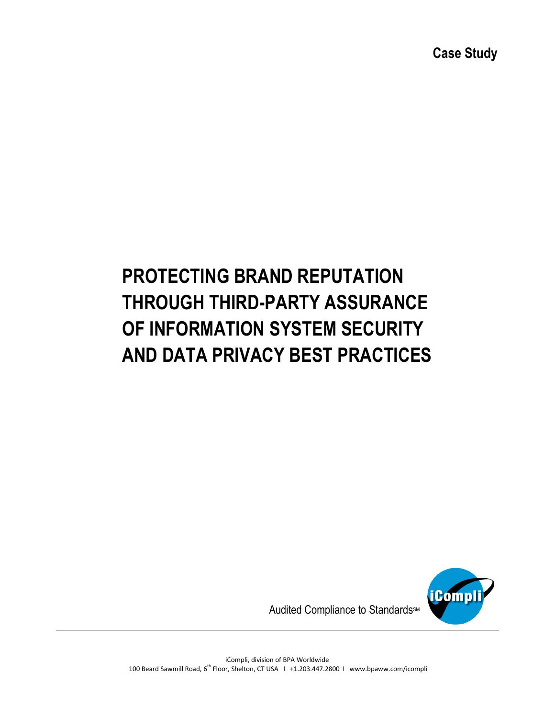# **PROTECTING BRAND REPUTATION THROUGH THIRD-PARTY ASSURANCE OF INFORMATION SYSTEM SECURITY AND DATA PRIVACY BEST PRACTICES**



Audited Compliance to Standards<sup>M</sup>

iCompli, division of BPA Worldwide 100 Beard Sawmill Road, 6<sup>th</sup> Floor, Shelton, CT USA 1 +1.203.447.2800 1 www.bpaww.com/icompli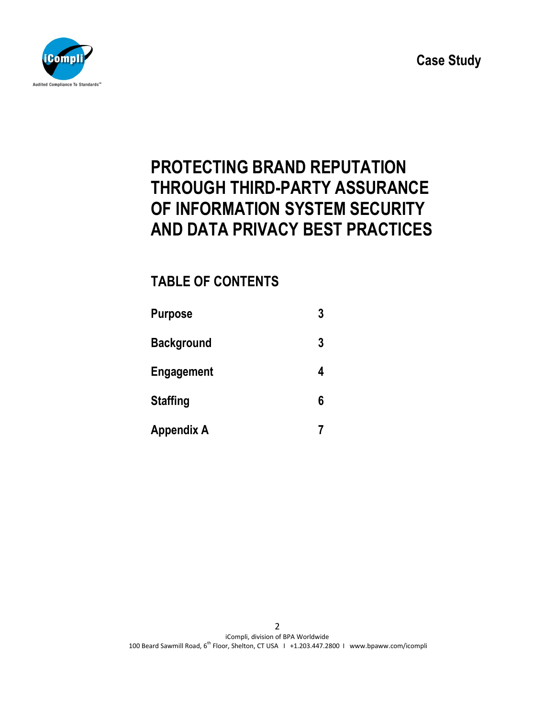

# **PROTECTING BRAND REPUTATION THROUGH THIRD-PARTY ASSURANCE OF INFORMATION SYSTEM SECURITY AND DATA PRIVACY BEST PRACTICES**

# **TABLE OF CONTENTS**

| <b>Purpose</b>    | 3 |
|-------------------|---|
| <b>Background</b> | 3 |
| <b>Engagement</b> | 4 |
| <b>Staffing</b>   | 6 |
| <b>Appendix A</b> |   |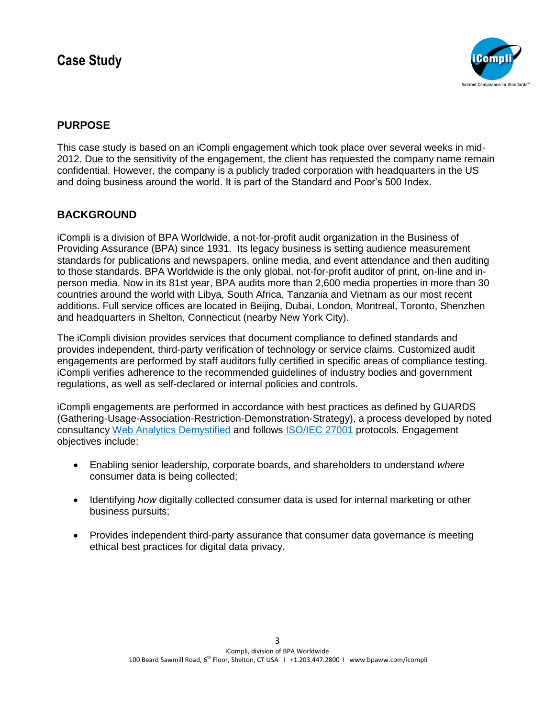

## **PURPOSE**

This case study is based on an iCompli engagement which took place over several weeks in mid-2012. Due to the sensitivity of the engagement, the client has requested the company name remain confidential. However, the company is a publicly traded corporation with headquarters in the US and doing business around the world. It is part of the Standard and Poor's 500 Index.

## **BACKGROUND**

iCompli is a division of BPA Worldwide, a not-for-profit audit organization in the Business of Providing Assurance (BPA) since 1931. Its legacy business is setting audience measurement standards for publications and newspapers, online media, and event attendance and then auditing to those standards. BPA Worldwide is the only global, not-for-profit auditor of print, on-line and inperson media. Now in its 81st year, BPA audits more than 2,600 media properties in more than 30 countries around the world with Libya, South Africa, Tanzania and Vietnam as our most recent additions. Full service offices are located in Beijing, Dubai, London, Montreal, Toronto, Shenzhen and headquarters in Shelton, Connecticut (nearby New York City).

The iCompli division provides services that document compliance to defined standards and provides independent, third-party verification of technology or service claims. Customized audit engagements are performed by staff auditors fully certified in specific areas of compliance testing. iCompli verifies adherence to the recommended guidelines of industry bodies and government regulations, as well as self-declared or internal policies and controls.

iCompli engagements are performed in accordance with best practices as defined by GUARDS (Gathering-Usage-Association-Restriction-Demonstration-Strategy), a process developed by noted consultancy [Web Analytics Demystified](http://www.webanalyticsdemystified.com/consulting/index.asp) and follows [ISO/IEC 27001](http://www.27001-online.com/auditing.htm) protocols. Engagement objectives include:

- Enabling senior leadership, corporate boards, and shareholders to understand *where* consumer data is being collected;
- Identifying *how* digitally collected consumer data is used for internal marketing or other business pursuits;
- Provides independent third-party assurance that consumer data governance *is* meeting ethical best practices for digital data privacy.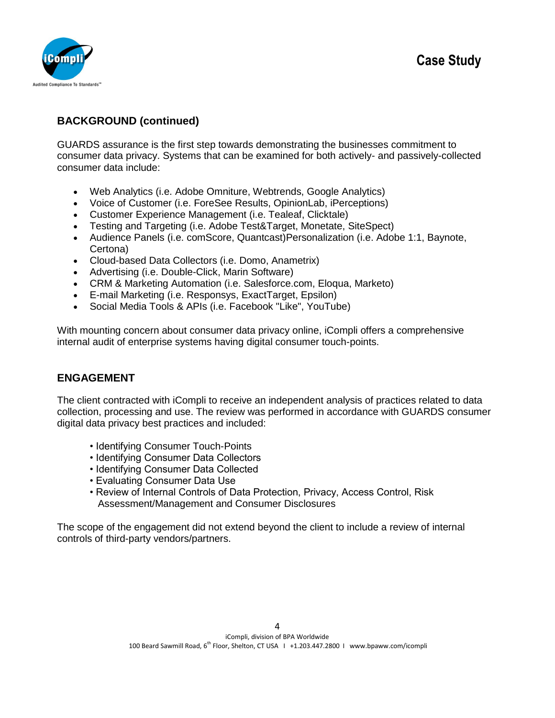

## **BACKGROUND (continued)**

GUARDS assurance is the first step towards demonstrating the businesses commitment to consumer data privacy. Systems that can be examined for both actively- and passively-collected consumer data include:

- Web Analytics (i.e. Adobe Omniture, Webtrends, Google Analytics)
- Voice of Customer (i.e. ForeSee Results, OpinionLab, iPerceptions)
- Customer Experience Management (i.e. Tealeaf, Clicktale)
- Testing and Targeting (i.e. Adobe Test&Target, Monetate, SiteSpect)
- Audience Panels (i.e. comScore, Quantcast)Personalization (i.e. Adobe 1:1, Baynote, Certona)
- Cloud-based Data Collectors (i.e. Domo, Anametrix)
- Advertising (i.e. Double-Click, Marin Software)
- CRM & Marketing Automation (i.e. Salesforce.com, Eloqua, Marketo)
- E-mail Marketing (i.e. Responsys, ExactTarget, Epsilon)
- Social Media Tools & APIs (i.e. Facebook "Like", YouTube)

With mounting concern about consumer data privacy online, iCompli offers a comprehensive internal audit of enterprise systems having digital consumer touch-points.

## **ENGAGEMENT**

The client contracted with iCompli to receive an independent analysis of practices related to data collection, processing and use. The review was performed in accordance with GUARDS consumer digital data privacy best practices and included:

- Identifying Consumer Touch-Points
- Identifying Consumer Data Collectors
- Identifying Consumer Data Collected
- Evaluating Consumer Data Use
- Review of Internal Controls of Data Protection, Privacy, Access Control, Risk Assessment/Management and Consumer Disclosures

The scope of the engagement did not extend beyond the client to include a review of internal controls of third-party vendors/partners.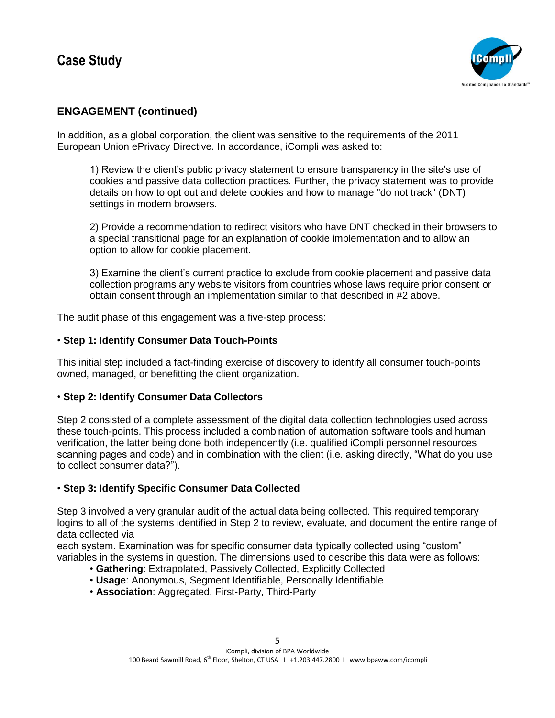

# **ENGAGEMENT (continued)**

In addition, as a global corporation, the client was sensitive to the requirements of the 2011 European Union ePrivacy Directive. In accordance, iCompli was asked to:

1) Review the client's public privacy statement to ensure transparency in the site's use of cookies and passive data collection practices. Further, the privacy statement was to provide details on how to opt out and delete cookies and how to manage "do not track" (DNT) settings in modern browsers.

2) Provide a recommendation to redirect visitors who have DNT checked in their browsers to a special transitional page for an explanation of cookie implementation and to allow an option to allow for cookie placement.

3) Examine the client's current practice to exclude from cookie placement and passive data collection programs any website visitors from countries whose laws require prior consent or obtain consent through an implementation similar to that described in #2 above.

The audit phase of this engagement was a five-step process:

#### • **Step 1: Identify Consumer Data Touch-Points**

This initial step included a fact-finding exercise of discovery to identify all consumer touch-points owned, managed, or benefitting the client organization.

#### • **Step 2: Identify Consumer Data Collectors**

Step 2 consisted of a complete assessment of the digital data collection technologies used across these touch-points. This process included a combination of automation software tools and human verification, the latter being done both independently (i.e. qualified iCompli personnel resources scanning pages and code) and in combination with the client (i.e. asking directly, "What do you use to collect consumer data?").

#### • **Step 3: Identify Specific Consumer Data Collected**

Step 3 involved a very granular audit of the actual data being collected. This required temporary logins to all of the systems identified in Step 2 to review, evaluate, and document the entire range of data collected via

each system. Examination was for specific consumer data typically collected using "custom" variables in the systems in question. The dimensions used to describe this data were as follows:

- **Gathering**: Extrapolated, Passively Collected, Explicitly Collected
- **Usage**: Anonymous, Segment Identifiable, Personally Identifiable
- **Association**: Aggregated, First-Party, Third-Party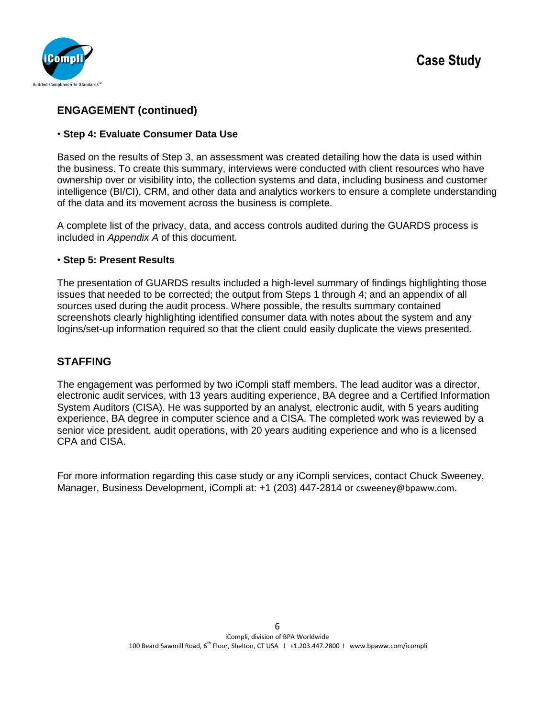

## **ENGAGEMENT (continued)**

#### • **Step 4: Evaluate Consumer Data Use**

Based on the results of Step 3, an assessment was created detailing how the data is used within the business. To create this summary, interviews were conducted with client resources who have ownership over or visibility into, the collection systems and data, including business and customer intelligence (BI/CI), CRM, and other data and analytics workers to ensure a complete understanding of the data and its movement across the business is complete.

A complete list of the privacy, data, and access controls audited during the GUARDS process is included in *Appendix A* of this document.

#### • **Step 5: Present Results**

The presentation of GUARDS results included a high-level summary of findings highlighting those issues that needed to be corrected; the output from Steps 1 through 4; and an appendix of all sources used during the audit process. Where possible, the results summary contained screenshots clearly highlighting identified consumer data with notes about the system and any logins/set-up information required so that the client could easily duplicate the views presented.

#### **STAFFING**

The engagement was performed by two iCompli staff members. The lead auditor was a director, electronic audit services, with 13 years auditing experience, BA degree and a [Certified Information](http://www.isaca.org/)  [System Auditors \(CISA\).](http://www.isaca.org/) He was supported by an analyst, electronic audit, with 5 years auditing experience, BA degree in computer science and a CISA. The completed work was reviewed by a senior vice president, audit operations, with 20 years auditing experience and who is a licensed CPA and CISA.

For more information regarding this case study or any iCompli services, contact Chuck Sweeney, Manager, Business Development, iCompli at: +1 (203) 447-2814 or [csweeney@bpaww.com](mailto:csweeney@bpaww.com).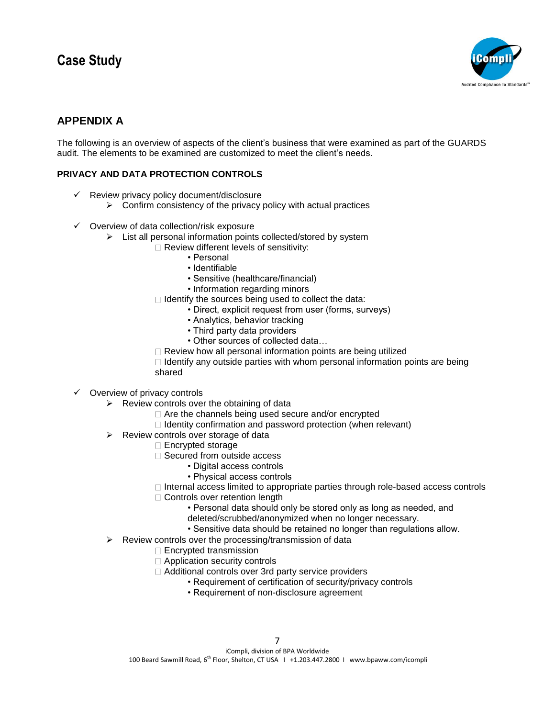

# **APPENDIX A**

The following is an overview of aspects of the client's business that were examined as part of the GUARDS audit. The elements to be examined are customized to meet the client's needs.

#### **PRIVACY AND DATA PROTECTION CONTROLS**

- $\checkmark$  Review privacy policy document/disclosure
	- $\triangleright$  Confirm consistency of the privacy policy with actual practices
- $\checkmark$  Overview of data collection/risk exposure
	- $\triangleright$  List all personal information points collected/stored by system
		- □ Review different levels of sensitivity:
			- Personal
			- Identifiable
			- Sensitive (healthcare/financial)
			- Information regarding minors
		- $\Box$  Identify the sources being used to collect the data:
			- Direct, explicit request from user (forms, surveys)
				- Analytics, behavior tracking
				- Third party data providers
				- Other sources of collected data…
		- $\Box$  Review how all personal information points are being utilized

 $\Box$  Identify any outside parties with whom personal information points are being shared

- $\checkmark$  Overview of privacy controls
	- $\triangleright$  Review controls over the obtaining of data
		- □ Are the channels being used secure and/or encrypted
		- $\Box$  Identity confirmation and password protection (when relevant)
	- $\triangleright$  Review controls over storage of data
		- □ Encrypted storage
		- □ Secured from outside access
			- Digital access controls
			- Physical access controls
		- $\Box$  Internal access limited to appropriate parties through role-based access controls
		- □ Controls over retention length
			- Personal data should only be stored only as long as needed, and
			- deleted/scrubbed/anonymized when no longer necessary.
			- Sensitive data should be retained no longer than regulations allow.
	- $\triangleright$  Review controls over the processing/transmission of data
		- □ Encrypted transmission
		- □ Application security controls
		- Additional controls over 3rd party service providers
			- Requirement of certification of security/privacy controls
				- Requirement of non-disclosure agreement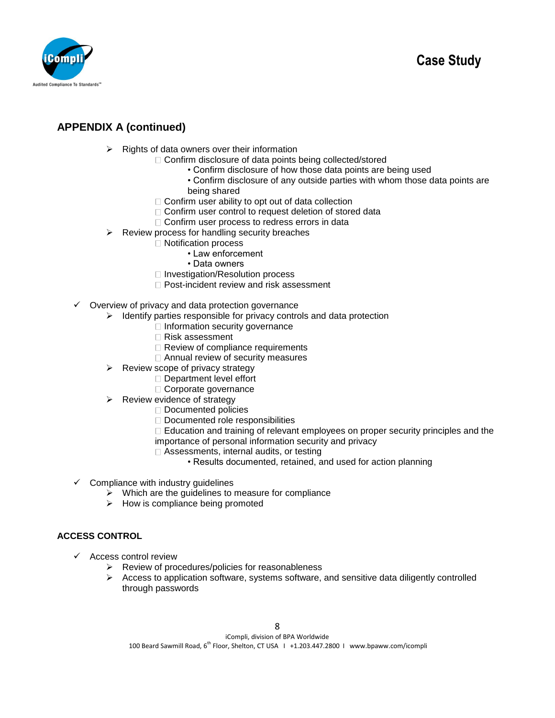

# **APPENDIX A (continued)**

- $\triangleright$  Rights of data owners over their information
	- □ Confirm disclosure of data points being collected/stored
		- Confirm disclosure of how those data points are being used
		- Confirm disclosure of any outside parties with whom those data points are being shared
	- $\Box$  Confirm user ability to opt out of data collection
	- □ Confirm user control to request deletion of stored data
	- □ Confirm user process to redress errors in data
- $\triangleright$  Review process for handling security breaches
	- □ Notification process
		- Law enforcement
		- Data owners
	- □ Investigation/Resolution process
	- □ Post-incident review and risk assessment
- $\checkmark$  Overview of privacy and data protection governance
	- $\triangleright$  Identify parties responsible for privacy controls and data protection
		- $\Box$  Information security governance
		- Risk assessment
		- $\Box$  Review of compliance requirements
		- □ Annual review of security measures
	- $\triangleright$  Review scope of privacy strategy
		- □ Department level effort
		- Corporate governance
	- $\triangleright$  Review evidence of strategy
		- □ Documented policies
		- Documented role responsibilities
		- $\Box$  Education and training of relevant employees on proper security principles and the importance of personal information security and privacy
		- □ Assessments, internal audits, or testing
			- Results documented, retained, and used for action planning
- $\checkmark$  Compliance with industry guidelines
	- $\triangleright$  Which are the guidelines to measure for compliance
	- $\triangleright$  How is compliance being promoted

#### **ACCESS CONTROL**

- $\checkmark$  Access control review
	- $\triangleright$  Review of procedures/policies for reasonableness
	- $\triangleright$  Access to application software, systems software, and sensitive data diligently controlled through passwords